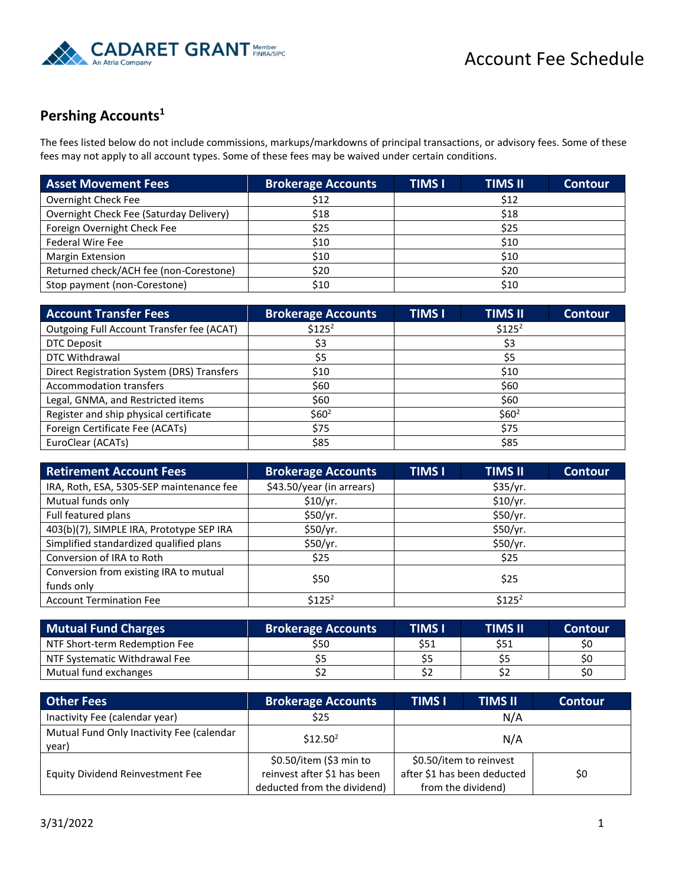

## **Pershing Accounts 1**

The fees listed below do not include commissions, markups/markdowns of principal transactions, or advisory fees. Some of these fees may not apply to all account types. Some of these fees may be waived under certain conditions.

| <b>Asset Movement Fees</b>              | <b>Brokerage Accounts</b> | <b>TIMS I</b> | <b>TIMS II</b> | <b>Contour</b> |
|-----------------------------------------|---------------------------|---------------|----------------|----------------|
| Overnight Check Fee                     | \$12                      |               | \$12           |                |
| Overnight Check Fee (Saturday Delivery) | \$18                      | \$18          |                |                |
| Foreign Overnight Check Fee             | \$25                      | \$25          |                |                |
| <b>Federal Wire Fee</b>                 | \$10                      | \$10          |                |                |
| <b>Margin Extension</b>                 | \$10                      | \$10          |                |                |
| Returned check/ACH fee (non-Corestone)  | \$20                      | \$20          |                |                |
| Stop payment (non-Corestone)            | \$10                      | \$10          |                |                |

| <b>Account Transfer Fees</b>               | <b>Brokerage Accounts</b> | <b>TIMS I</b>     | <b>TIMS II</b> | <b>Contour</b> |
|--------------------------------------------|---------------------------|-------------------|----------------|----------------|
| Outgoing Full Account Transfer fee (ACAT)  | $$125^2$                  |                   | $$125^2$       |                |
| DTC Deposit                                | \$3                       |                   | \$3            |                |
| <b>DTC Withdrawal</b>                      | \$5                       | \$5               |                |                |
| Direct Registration System (DRS) Transfers | \$10                      | \$10              |                |                |
| <b>Accommodation transfers</b>             | \$60                      | \$60              |                |                |
| Legal, GNMA, and Restricted items          | \$60                      | \$60              |                |                |
| Register and ship physical certificate     | \$60 <sup>2</sup>         | \$60 <sup>2</sup> |                |                |
| Foreign Certificate Fee (ACATs)            | \$75                      | \$75              |                |                |
| EuroClear (ACATs)                          | \$85                      | \$85              |                |                |

| <b>Retirement Account Fees</b>           | <b>Brokerage Accounts</b> | <b>TIMS I</b> | <b>TIMS II</b> | <b>Contour</b> |
|------------------------------------------|---------------------------|---------------|----------------|----------------|
| IRA, Roth, ESA, 5305-SEP maintenance fee | \$43.50/year (in arrears) |               | \$35/yr.       |                |
| Mutual funds only                        | \$10/yr.                  |               | \$10/yr.       |                |
| Full featured plans                      | \$50/yr.                  |               | \$50/yr.       |                |
| 403(b)(7), SIMPLE IRA, Prototype SEP IRA | \$50/yr.                  | \$50/yr.      |                |                |
| Simplified standardized qualified plans  | \$50/yr.                  | \$50/yr.      |                |                |
| Conversion of IRA to Roth                | \$25                      | \$25          |                |                |
| Conversion from existing IRA to mutual   | \$50                      |               |                |                |
| funds only                               |                           | \$25          |                |                |
| <b>Account Termination Fee</b>           | $$125^2$                  | $$125^2$      |                |                |

| <b>Mutual Fund Charges</b>    | <b>Brokerage Accounts</b> | <b>TIMS I</b> | <b>TIMS II</b> | <b>Contour</b> |
|-------------------------------|---------------------------|---------------|----------------|----------------|
| NTF Short-term Redemption Fee | \$50                      | \$51          | \$51           | \$0            |
| NTF Systematic Withdrawal Fee |                           |               |                | S0             |
| Mutual fund exchanges         |                           |               |                | \$0            |

| <b>Other Fees</b>                                  | <b>Brokerage Accounts</b>   | <b>TIMS II</b><br><b>TIMS I</b> | <b>Contour</b> |  |  |
|----------------------------------------------------|-----------------------------|---------------------------------|----------------|--|--|
| Inactivity Fee (calendar year)                     | \$25                        | N/A                             |                |  |  |
| Mutual Fund Only Inactivity Fee (calendar<br>year) | $$12.50^2$                  | N/A                             |                |  |  |
|                                                    | \$0.50/item (\$3 min to     | \$0.50/item to reinvest         |                |  |  |
| <b>Equity Dividend Reinvestment Fee</b>            | reinvest after \$1 has been | after \$1 has been deducted     | \$0            |  |  |
|                                                    | deducted from the dividend) | from the dividend)              |                |  |  |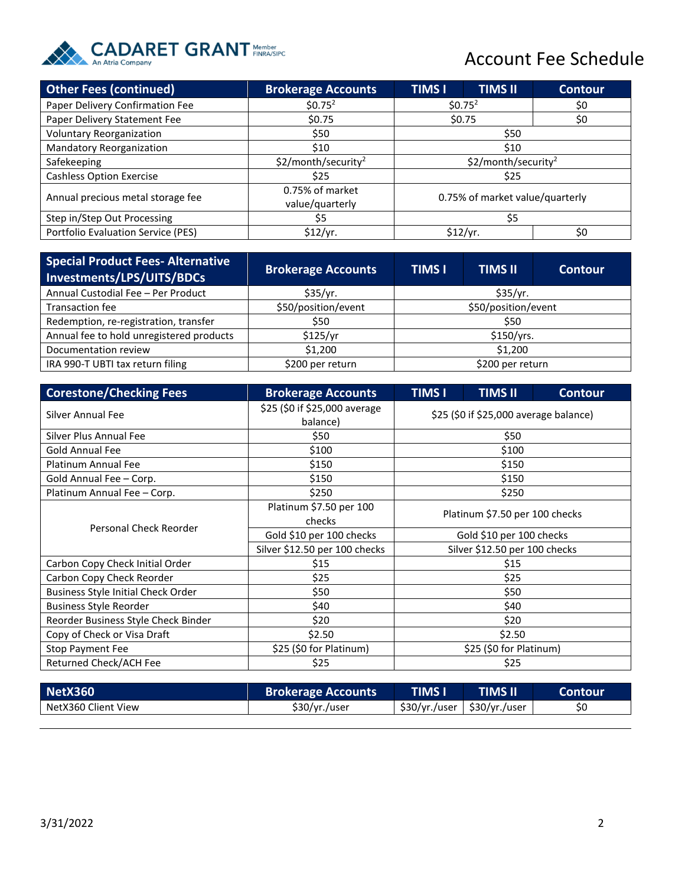

## Account Fee Schedule

| <b>Other Fees (continued)</b>      | <b>Brokerage Accounts</b>          | <b>TIMS I</b>                   | <b>TIMS II</b> | <b>Contour</b> |
|------------------------------------|------------------------------------|---------------------------------|----------------|----------------|
| Paper Delivery Confirmation Fee    | \$0.75 <sup>2</sup>                | $$0.75^2$<br>\$0                |                |                |
| Paper Delivery Statement Fee       | \$0.75                             | \$0.75                          |                | \$0            |
| <b>Voluntary Reorganization</b>    | \$50                               | \$50                            |                |                |
| Mandatory Reorganization           | \$10                               | \$10                            |                |                |
| Safekeeping                        | \$2/month/security <sup>2</sup>    | \$2/month/security <sup>2</sup> |                |                |
| <b>Cashless Option Exercise</b>    | \$25                               | \$25                            |                |                |
| Annual precious metal storage fee  | 0.75% of market<br>value/quarterly | 0.75% of market value/quarterly |                |                |
| Step in/Step Out Processing        | \$5                                | \$5                             |                |                |
| Portfolio Evaluation Service (PES) | \$12/yr.                           | \$12/yr.                        |                | \$0            |

| <b>Special Product Fees- Alternative</b><br>Investments/LPS/UITS/BDCs | <b>Brokerage Accounts</b> | <b>TIMS I</b><br><b>TIMS II</b> |  | <b>Contour</b> |
|-----------------------------------------------------------------------|---------------------------|---------------------------------|--|----------------|
| Annual Custodial Fee - Per Product                                    | \$35/yr.                  | \$35/yr.                        |  |                |
| Transaction fee                                                       | \$50/position/event       | \$50/position/event             |  |                |
| Redemption, re-registration, transfer                                 | \$50                      | \$50                            |  |                |
| Annual fee to hold unregistered products                              | \$125/yr                  | \$150/yrs.                      |  |                |
| Documentation review                                                  | \$1,200                   | \$1,200                         |  |                |
| IRA 990-T UBTI tax return filing                                      | \$200 per return          | \$200 per return                |  |                |

| <b>Corestone/Checking Fees</b>            | <b>Brokerage Accounts</b>                 | <b>TIMS I</b>                          | <b>TIMS II</b> | <b>Contour</b> |
|-------------------------------------------|-------------------------------------------|----------------------------------------|----------------|----------------|
| Silver Annual Fee                         | \$25 (\$0 if \$25,000 average<br>balance) | \$25 (\$0 if \$25,000 average balance) |                |                |
| Silver Plus Annual Fee                    | \$50                                      |                                        | \$50           |                |
| Gold Annual Fee                           | \$100                                     |                                        | \$100          |                |
| <b>Platinum Annual Fee</b>                | \$150                                     |                                        | \$150          |                |
| Gold Annual Fee - Corp.                   | \$150                                     |                                        | \$150          |                |
| Platinum Annual Fee - Corp.               | \$250                                     |                                        | \$250          |                |
|                                           | Platinum \$7.50 per 100<br>checks         | Platinum \$7.50 per 100 checks         |                |                |
| Personal Check Reorder                    | Gold \$10 per 100 checks                  | Gold \$10 per 100 checks               |                |                |
|                                           | Silver \$12.50 per 100 checks             | Silver \$12.50 per 100 checks          |                |                |
| Carbon Copy Check Initial Order           | \$15                                      |                                        | \$15           |                |
| Carbon Copy Check Reorder                 | \$25                                      |                                        | \$25           |                |
| <b>Business Style Initial Check Order</b> | \$50                                      |                                        | \$50           |                |
| <b>Business Style Reorder</b>             | \$40                                      |                                        | \$40           |                |
| Reorder Business Style Check Binder       | \$20                                      | \$20                                   |                |                |
| Copy of Check or Visa Draft               | \$2.50                                    | \$2.50                                 |                |                |
| Stop Payment Fee                          | \$25 (\$0 for Platinum)                   | \$25 (\$0 for Platinum)                |                |                |
| Returned Check/ACH Fee                    | \$25                                      |                                        | \$25           |                |

| $\blacksquare$ NetX360 $\blacksquare$ | <b>Brokerage Accounts</b> | TIMS I'       | TIMS II      | Contour |
|---------------------------------------|---------------------------|---------------|--------------|---------|
| NetX360 Client View                   | \$30/yr./user             | \$30/vr./user | S30/vr./user |         |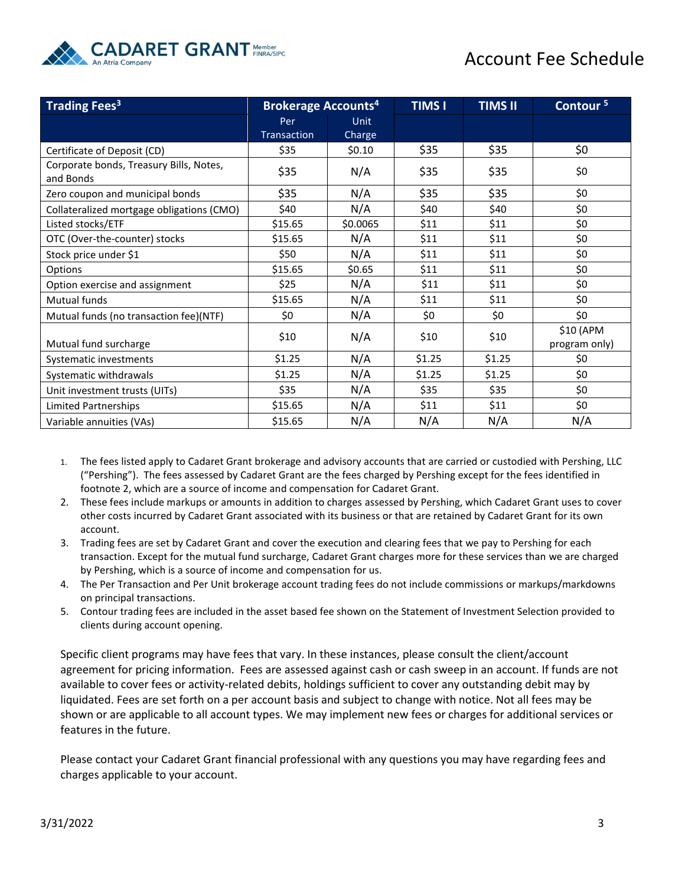

## Account Fee Schedule

| <b>Trading Fees<sup>3</sup></b>                      | <b>Brokerage Accounts<sup>4</sup></b> |             | <b>TIMS I</b> | <b>TIMS II</b> | Contour <sup>5</sup>       |
|------------------------------------------------------|---------------------------------------|-------------|---------------|----------------|----------------------------|
|                                                      | Per                                   | <b>Unit</b> |               |                |                            |
|                                                      | Transaction                           | Charge      |               |                |                            |
| Certificate of Deposit (CD)                          | \$35                                  | \$0.10      | \$35          | \$35           | \$0                        |
| Corporate bonds, Treasury Bills, Notes,<br>and Bonds | \$35                                  | N/A         | \$35          | \$35           | \$0                        |
| Zero coupon and municipal bonds                      | \$35                                  | N/A         | \$35          | \$35           | \$0                        |
| Collateralized mortgage obligations (CMO)            | \$40                                  | N/A         | \$40          | \$40           | \$0                        |
| Listed stocks/ETF                                    | \$15.65                               | \$0.0065    | \$11          | \$11           | \$0                        |
| OTC (Over-the-counter) stocks                        | \$15.65                               | N/A         | \$11          | \$11           | \$0                        |
| Stock price under \$1                                | \$50                                  | N/A         | \$11          | \$11           | \$0                        |
| Options                                              | \$15.65                               | \$0.65      | \$11          | \$11           | \$0                        |
| Option exercise and assignment                       | \$25                                  | N/A         | \$11          | \$11           | \$0                        |
| <b>Mutual funds</b>                                  | \$15.65                               | N/A         | \$11          | \$11           | \$0                        |
| Mutual funds (no transaction fee)(NTF)               | \$0                                   | N/A         | \$0           | \$0            | \$0                        |
| Mutual fund surcharge                                | \$10                                  | N/A         | \$10          | \$10           | \$10 (APM<br>program only) |
| Systematic investments                               | \$1.25                                | N/A         | \$1.25        | \$1.25         | \$0                        |
| Systematic withdrawals                               | \$1.25                                | N/A         | \$1.25        | \$1.25         | \$0                        |
| Unit investment trusts (UITs)                        | \$35                                  | N/A         | \$35          | \$35           | \$0                        |
| <b>Limited Partnerships</b>                          | \$15.65                               | N/A         | \$11          | \$11           | \$0                        |
| Variable annuities (VAs)                             | \$15.65                               | N/A         | N/A           | N/A            | N/A                        |

- 1. The fees listed apply to Cadaret Grant brokerage and advisory accounts that are carried or custodied with Pershing, LLC ("Pershing"). The fees assessed by Cadaret Grant are the fees charged by Pershing except for the fees identified in footnote 2, which are a source of income and compensation for Cadaret Grant.
- 2. These fees include markups or amounts in addition to charges assessed by Pershing, which Cadaret Grant uses to cover other costs incurred by Cadaret Grant associated with its business or that are retained by Cadaret Grant for its own account.
- 3. Trading fees are set by Cadaret Grant and cover the execution and clearing fees that we pay to Pershing for each transaction. Except for the mutual fund surcharge, Cadaret Grant charges more for these services than we are charged by Pershing, which is a source of income and compensation for us.
- 4. The Per Transaction and Per Unit brokerage account trading fees do not include commissions or markups/markdowns on principal transactions.
- 5. Contour trading fees are included in the asset based fee shown on the Statement of Investment Selection provided to clients during account opening.

Specific client programs may have fees that vary. In these instances, please consult the client/account agreement for pricing information. Fees are assessed against cash or cash sweep in an account. If funds are not available to cover fees or activity-related debits, holdings sufficient to cover any outstanding debit may by liquidated. Fees are set forth on a per account basis and subject to change with notice. Not all fees may be shown or are applicable to all account types. We may implement new fees or charges for additional services or features in the future.

Please contact your Cadaret Grant financial professional with any questions you may have regarding fees and charges applicable to your account.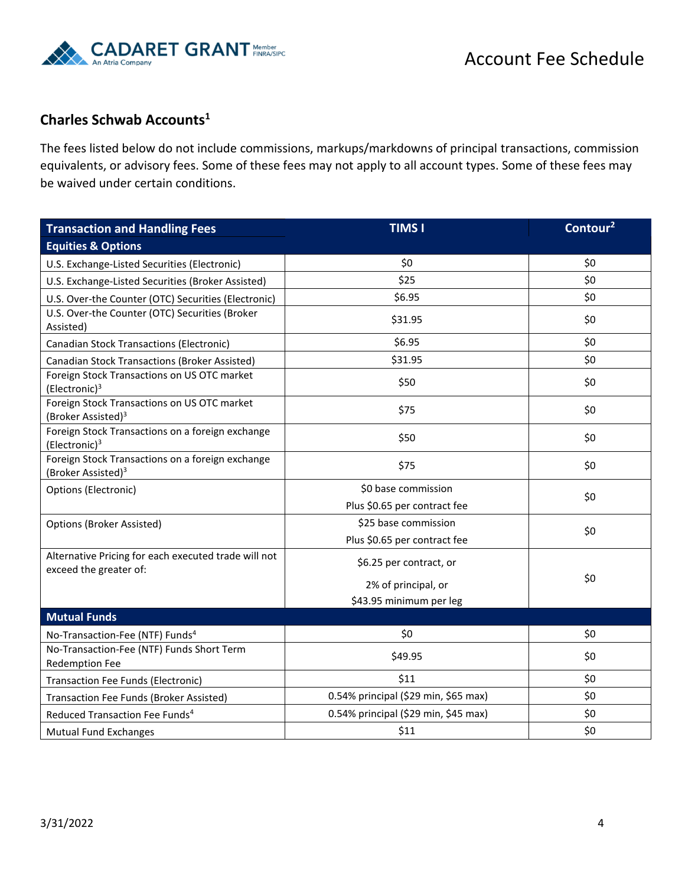

## **Charles Schwab Accounts<sup>1</sup>**

The fees listed below do not include commissions, markups/markdowns of principal transactions, commission equivalents, or advisory fees. Some of these fees may not apply to all account types. Some of these fees may be waived under certain conditions.

| <b>Transaction and Handling Fees</b>                                               | <b>TIMS I</b>                        | Contour <sup>2</sup> |
|------------------------------------------------------------------------------------|--------------------------------------|----------------------|
| <b>Equities &amp; Options</b>                                                      |                                      |                      |
| U.S. Exchange-Listed Securities (Electronic)                                       | \$0                                  | \$0                  |
| U.S. Exchange-Listed Securities (Broker Assisted)                                  | \$25                                 | \$0                  |
| U.S. Over-the Counter (OTC) Securities (Electronic)                                | \$6.95                               | \$0                  |
| U.S. Over-the Counter (OTC) Securities (Broker<br>Assisted)                        | \$31.95                              | \$0                  |
| Canadian Stock Transactions (Electronic)                                           | \$6.95                               | \$0                  |
| Canadian Stock Transactions (Broker Assisted)                                      | \$31.95                              | \$0                  |
| Foreign Stock Transactions on US OTC market<br>(Electronic) <sup>3</sup>           | \$50                                 | \$0                  |
| Foreign Stock Transactions on US OTC market<br>(Broker Assisted) <sup>3</sup>      | \$75                                 | \$0                  |
| Foreign Stock Transactions on a foreign exchange<br>(Electronic) <sup>3</sup>      | \$50                                 | \$0                  |
| Foreign Stock Transactions on a foreign exchange<br>(Broker Assisted) <sup>3</sup> | \$75                                 | \$0                  |
| Options (Electronic)                                                               | \$0 base commission                  | \$0                  |
|                                                                                    | Plus \$0.65 per contract fee         |                      |
| Options (Broker Assisted)                                                          | \$25 base commission                 | \$0                  |
|                                                                                    | Plus \$0.65 per contract fee         |                      |
| Alternative Pricing for each executed trade will not<br>exceed the greater of:     | \$6.25 per contract, or              |                      |
|                                                                                    | 2% of principal, or                  | \$0                  |
|                                                                                    | \$43.95 minimum per leg              |                      |
| <b>Mutual Funds</b>                                                                |                                      |                      |
| No-Transaction-Fee (NTF) Funds <sup>4</sup>                                        | \$0                                  | \$0                  |
| No-Transaction-Fee (NTF) Funds Short Term                                          | \$49.95                              | \$0                  |
| <b>Redemption Fee</b><br><b>Transaction Fee Funds (Electronic)</b>                 | \$11                                 | \$0                  |
| Transaction Fee Funds (Broker Assisted)                                            | 0.54% principal (\$29 min, \$65 max) | \$0                  |
| Reduced Transaction Fee Funds <sup>4</sup>                                         | 0.54% principal (\$29 min, \$45 max) | \$0                  |
| <b>Mutual Fund Exchanges</b>                                                       | \$11                                 | \$0                  |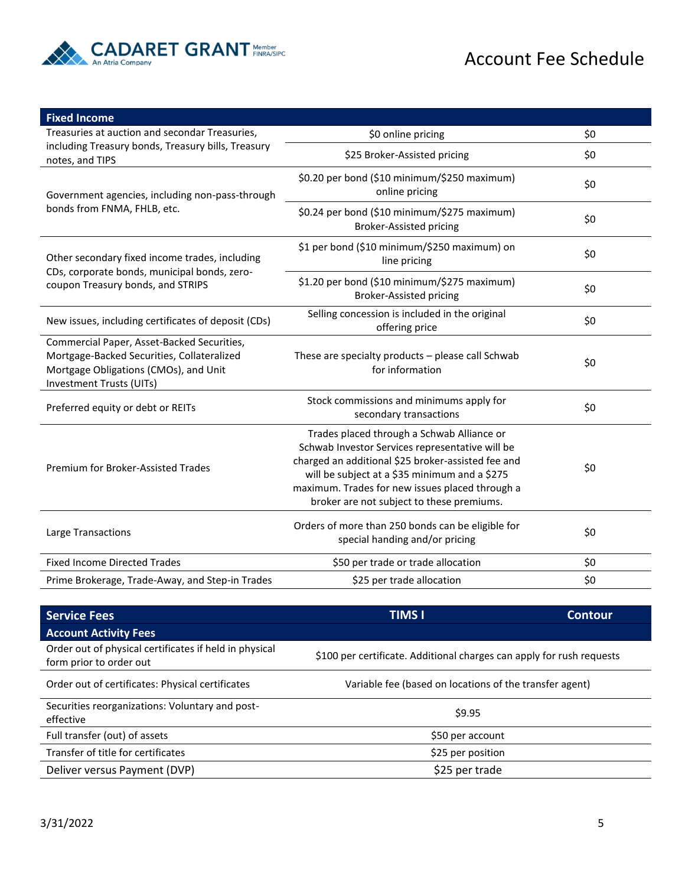

| <b>Fixed Income</b>                                                                                                                                           |                                                                                                                                                                                                                                                                                                      |     |
|---------------------------------------------------------------------------------------------------------------------------------------------------------------|------------------------------------------------------------------------------------------------------------------------------------------------------------------------------------------------------------------------------------------------------------------------------------------------------|-----|
| Treasuries at auction and secondar Treasuries,                                                                                                                | \$0 online pricing                                                                                                                                                                                                                                                                                   | \$0 |
| including Treasury bonds, Treasury bills, Treasury<br>notes, and TIPS                                                                                         | \$25 Broker-Assisted pricing                                                                                                                                                                                                                                                                         | \$0 |
| Government agencies, including non-pass-through                                                                                                               | \$0.20 per bond (\$10 minimum/\$250 maximum)<br>online pricing                                                                                                                                                                                                                                       | \$0 |
| bonds from FNMA, FHLB, etc.                                                                                                                                   | \$0.24 per bond (\$10 minimum/\$275 maximum)<br><b>Broker-Assisted pricing</b>                                                                                                                                                                                                                       | \$0 |
| Other secondary fixed income trades, including                                                                                                                | \$1 per bond (\$10 minimum/\$250 maximum) on<br>line pricing                                                                                                                                                                                                                                         | \$0 |
| CDs, corporate bonds, municipal bonds, zero-<br>coupon Treasury bonds, and STRIPS                                                                             | \$1.20 per bond (\$10 minimum/\$275 maximum)<br><b>Broker-Assisted pricing</b>                                                                                                                                                                                                                       | \$0 |
| New issues, including certificates of deposit (CDs)                                                                                                           | Selling concession is included in the original<br>offering price                                                                                                                                                                                                                                     | \$0 |
| Commercial Paper, Asset-Backed Securities,<br>Mortgage-Backed Securities, Collateralized<br>Mortgage Obligations (CMOs), and Unit<br>Investment Trusts (UITs) | These are specialty products - please call Schwab<br>for information                                                                                                                                                                                                                                 | \$0 |
| Preferred equity or debt or REITs                                                                                                                             | Stock commissions and minimums apply for<br>secondary transactions                                                                                                                                                                                                                                   | \$0 |
| Premium for Broker-Assisted Trades                                                                                                                            | Trades placed through a Schwab Alliance or<br>Schwab Investor Services representative will be<br>charged an additional \$25 broker-assisted fee and<br>will be subject at a \$35 minimum and a \$275<br>maximum. Trades for new issues placed through a<br>broker are not subject to these premiums. | \$0 |
| Large Transactions                                                                                                                                            | Orders of more than 250 bonds can be eligible for<br>special handing and/or pricing                                                                                                                                                                                                                  | \$0 |
| <b>Fixed Income Directed Trades</b>                                                                                                                           | \$50 per trade or trade allocation                                                                                                                                                                                                                                                                   | \$0 |
| Prime Brokerage, Trade-Away, and Step-in Trades                                                                                                               | \$25 per trade allocation                                                                                                                                                                                                                                                                            | \$0 |

| <b>Service Fees</b>                                                               | <b>TIMS I</b>                                                         | Contour |
|-----------------------------------------------------------------------------------|-----------------------------------------------------------------------|---------|
| <b>Account Activity Fees</b>                                                      |                                                                       |         |
| Order out of physical certificates if held in physical<br>form prior to order out | \$100 per certificate. Additional charges can apply for rush requests |         |
| Order out of certificates: Physical certificates                                  | Variable fee (based on locations of the transfer agent)               |         |
| Securities reorganizations: Voluntary and post-<br>effective                      | \$9.95                                                                |         |
| Full transfer (out) of assets                                                     | \$50 per account                                                      |         |
| Transfer of title for certificates                                                | \$25 per position                                                     |         |
| Deliver versus Payment (DVP)                                                      | \$25 per trade                                                        |         |